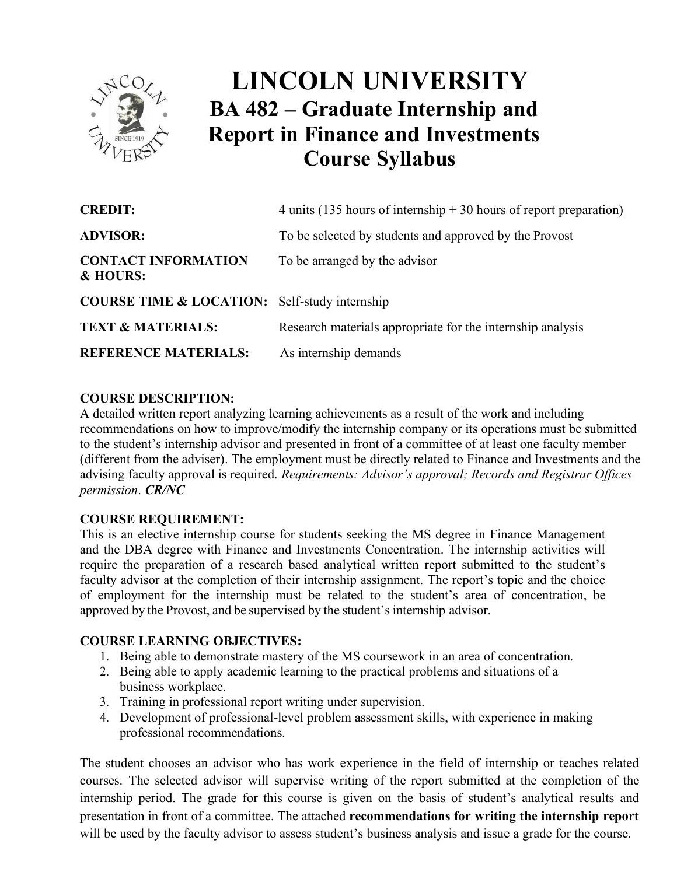

# **LINCOLN UNIVERSITY BA 482 – Graduate Internship and Report in Finance and Investments Course Syllabus**

| <b>CREDIT:</b>                                           | 4 units (135 hours of internship $+30$ hours of report preparation) |
|----------------------------------------------------------|---------------------------------------------------------------------|
| <b>ADVISOR:</b>                                          | To be selected by students and approved by the Provost              |
| <b>CONTACT INFORMATION</b><br>& HOURS:                   | To be arranged by the advisor                                       |
| <b>COURSE TIME &amp; LOCATION:</b> Self-study internship |                                                                     |
| <b>TEXT &amp; MATERIALS:</b>                             | Research materials appropriate for the internship analysis          |
| <b>REFERENCE MATERIALS:</b>                              | As internship demands                                               |

# **COURSE DESCRIPTION:**

 A detailed written report analyzing learning achievements as a result of the work and including recommendations on how to improve/modify the internship company or its operations must be submitted to the student's internship advisor and presented in front of a committee of at least one faculty member (different from the adviser). The employment must be directly related to Finance and Investments and the advising faculty approval is required. *Requirements: Advisor's approval; Records and Registrar Offices permission*. *CR/NC*

# **COURSE REQUIREMENT:**

This is an elective internship course for students seeking the MS degree in Finance Management and the DBA degree with Finance and Investments Concentration. The internship activities will require the preparation of a research based analytical written report submitted to the student's faculty advisor at the completion of their internship assignment. The report's topic and the choice of employment for the internship must be related to the student's area of concentration, be approved by the Provost, and be supervised by the student's internship advisor.

# **COURSE LEARNING OBJECTIVES:**

- 1. Being able to demonstrate mastery of the MS coursework in an area of concentration.
- 2. Being able to apply academic learning to the practical problems and situations of a business workplace.
- 3. Training in professional report writing under supervision.
- 4. Development of professional-level problem assessment skills, with experience in making professional recommendations.

The student chooses an advisor who has work experience in the field of internship or teaches related courses. The selected advisor will supervise writing of the report submitted at the completion of the internship period. The grade for this course is given on the basis of student's analytical results and presentation in front of a committee. The attached **recommendations for writing the internship report** will be used by the faculty advisor to assess student's business analysis and issue a grade for the course.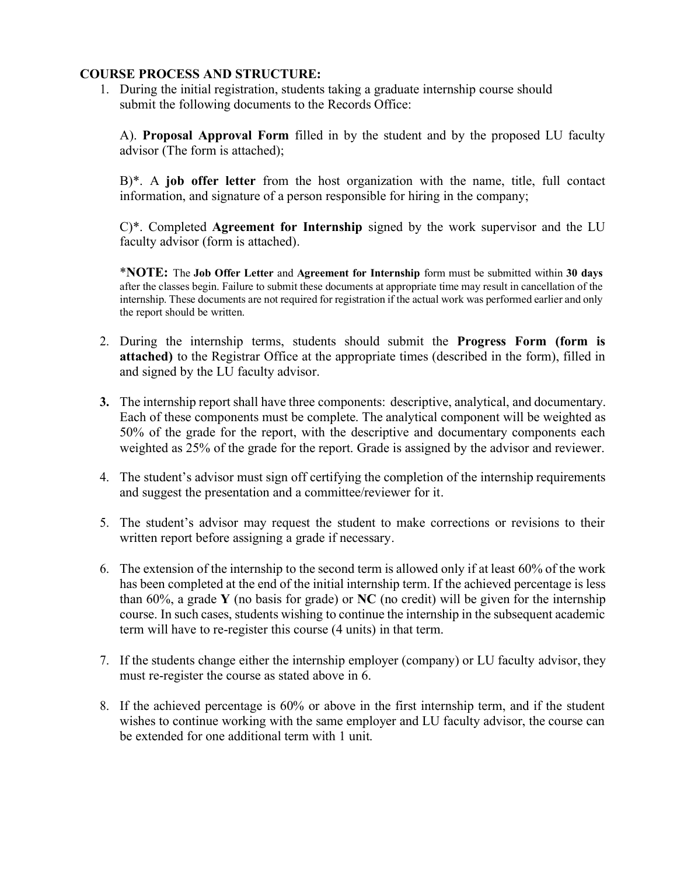#### **COURSE PROCESS AND STRUCTURE:**

1. During the initial registration, students taking a graduate internship course should submit the following documents to the Records Office:

A). **Proposal Approval Form** filled in by the student and by the proposed LU faculty advisor (The form is attached);

B)\*. A **job offer letter** from the host organization with the name, title, full contact information, and signature of a person responsible for hiring in the company;

C)\*. Completed **Agreement for Internship** signed by the work supervisor and the LU faculty advisor (form is attached).

\***NOTE:** The **Job Offer Letter** and **Agreement for Internship** form must be submitted within **30 days**  after the classes begin. Failure to submit these documents at appropriate time may result in cancellation of the internship. These documents are not required for registration if the actual work was performed earlier and only the report should be written.

- 2. During the internship terms, students should submit the **Progress Form (form is attached)** to the Registrar Office at the appropriate times (described in the form), filled in and signed by the LU faculty advisor.
- **3.** The internship report shall have three components: descriptive, analytical, and documentary. Each of these components must be complete. The analytical component will be weighted as 50% of the grade for the report, with the descriptive and documentary components each weighted as 25% of the grade for the report. Grade is assigned by the advisor and reviewer.
- 4. The student's advisor must sign off certifying the completion of the internship requirements and suggest the presentation and a committee/reviewer for it.
- 5. The student's advisor may request the student to make corrections or revisions to their written report before assigning a grade if necessary.
- 6. The extension of the internship to the second term is allowed only if at least 60% of the work has been completed at the end of the initial internship term. If the achieved percentage is less than 60%, a grade **Y** (no basis for grade) or **NC** (no credit) will be given for the internship course. In such cases, students wishing to continue the internship in the subsequent academic term will have to re-register this course (4 units) in that term.
- 7. If the students change either the internship employer (company) or LU faculty advisor, they must re-register the course as stated above in 6.
- 8. If the achieved percentage is 60% or above in the first internship term, and if the student wishes to continue working with the same employer and LU faculty advisor, the course can be extended for one additional term with 1 unit.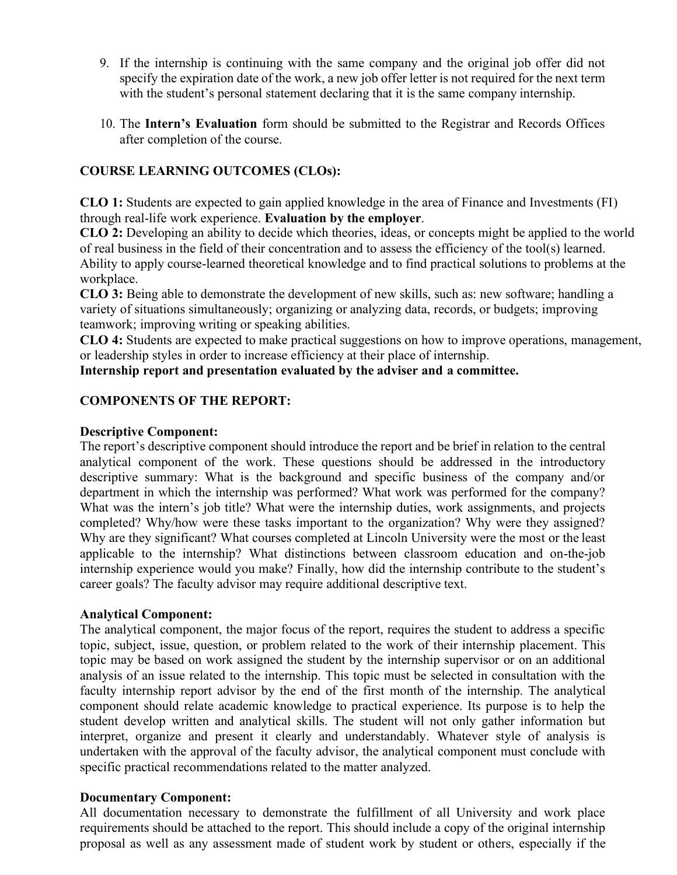- 9. If the internship is continuing with the same company and the original job offer did not specify the expiration date of the work, a new job offer letter is not required for the next term with the student's personal statement declaring that it is the same company internship.
- 10. The **Intern's Evaluation** form should be submitted to the Registrar and Records Offices after completion of the course.

# **COURSE LEARNING OUTCOMES (CLOs):**

 **CLO 1:** Students are expected to gain applied knowledge in the area of Finance and Investments (FI) through real-life work experience. **Evaluation by the employer**.

 **CLO 2:** Developing an ability to decide which theories, ideas, or concepts might be applied to the world of real business in the field of their concentration and to assess the efficiency of the tool(s) learned. Ability to apply course-learned theoretical knowledge and to find practical solutions to problems at the workplace.

**CLO 3:** Being able to demonstrate the development of new skills, such as: new software; handling a variety of situations simultaneously; organizing or analyzing data, records, or budgets; improving teamwork; improving writing or speaking abilities.

 **CLO 4:** Students are expected to make practical suggestions on how to improve operations, management, or leadership styles in order to increase efficiency at their place of internship.

**Internship report and presentation evaluated by the adviser and a committee.**

# **COMPONENTS OF THE REPORT:**

## **Descriptive Component:**

The report's descriptive component should introduce the report and be brief in relation to the central analytical component of the work. These questions should be addressed in the introductory descriptive summary: What is the background and specific business of the company and/or department in which the internship was performed? What work was performed for the company? What was the intern's job title? What were the internship duties, work assignments, and projects completed? Why/how were these tasks important to the organization? Why were they assigned? Why are they significant? What courses completed at Lincoln University were the most or the least applicable to the internship? What distinctions between classroom education and on-the-job internship experience would you make? Finally, how did the internship contribute to the student's career goals? The faculty advisor may require additional descriptive text.

#### **Analytical Component:**

The analytical component, the major focus of the report, requires the student to address a specific topic, subject, issue, question, or problem related to the work of their internship placement. This topic may be based on work assigned the student by the internship supervisor or on an additional analysis of an issue related to the internship. This topic must be selected in consultation with the faculty internship report advisor by the end of the first month of the internship. The analytical component should relate academic knowledge to practical experience. Its purpose is to help the student develop written and analytical skills. The student will not only gather information but interpret, organize and present it clearly and understandably. Whatever style of analysis is undertaken with the approval of the faculty advisor, the analytical component must conclude with specific practical recommendations related to the matter analyzed.

## **Documentary Component:**

All documentation necessary to demonstrate the fulfillment of all University and work place requirements should be attached to the report. This should include a copy of the original internship proposal as well as any assessment made of student work by student or others, especially if the